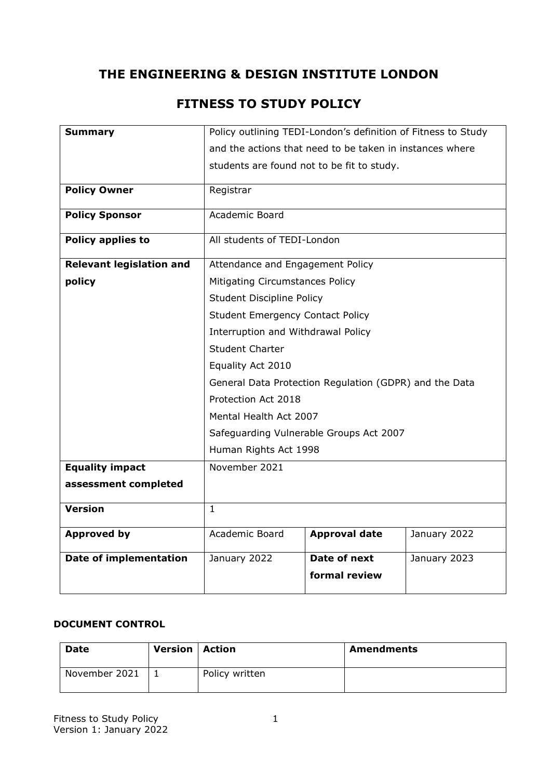# **THE ENGINEERING & DESIGN INSTITUTE LONDON**

# **FITNESS TO STUDY POLICY**

| <b>Summary</b>                  |                                                          | Policy outlining TEDI-London's definition of Fitness to Study |              |
|---------------------------------|----------------------------------------------------------|---------------------------------------------------------------|--------------|
|                                 | and the actions that need to be taken in instances where |                                                               |              |
|                                 | students are found not to be fit to study.               |                                                               |              |
| <b>Policy Owner</b>             | Registrar                                                |                                                               |              |
| <b>Policy Sponsor</b>           | Academic Board                                           |                                                               |              |
| <b>Policy applies to</b>        | All students of TEDI-London                              |                                                               |              |
| <b>Relevant legislation and</b> | Attendance and Engagement Policy                         |                                                               |              |
| policy                          | <b>Mitigating Circumstances Policy</b>                   |                                                               |              |
|                                 | <b>Student Discipline Policy</b>                         |                                                               |              |
|                                 | <b>Student Emergency Contact Policy</b>                  |                                                               |              |
|                                 | Interruption and Withdrawal Policy                       |                                                               |              |
|                                 | <b>Student Charter</b>                                   |                                                               |              |
|                                 | Equality Act 2010                                        |                                                               |              |
|                                 |                                                          | General Data Protection Regulation (GDPR) and the Data        |              |
|                                 | Protection Act 2018                                      |                                                               |              |
|                                 | Mental Health Act 2007                                   |                                                               |              |
|                                 |                                                          | Safeguarding Vulnerable Groups Act 2007                       |              |
|                                 | Human Rights Act 1998                                    |                                                               |              |
| <b>Equality impact</b>          | November 2021                                            |                                                               |              |
| assessment completed            |                                                          |                                                               |              |
| <b>Version</b>                  | $\mathbf{1}$                                             |                                                               |              |
| <b>Approved by</b>              | Academic Board                                           | <b>Approval date</b>                                          | January 2022 |
| <b>Date of implementation</b>   | January 2022                                             | Date of next<br>formal review                                 | January 2023 |
|                                 |                                                          |                                                               |              |

#### **DOCUMENT CONTROL**

| <b>Date</b>   | <b>Version   Action</b> |                | <b>Amendments</b> |
|---------------|-------------------------|----------------|-------------------|
| November 2021 |                         | Policy written |                   |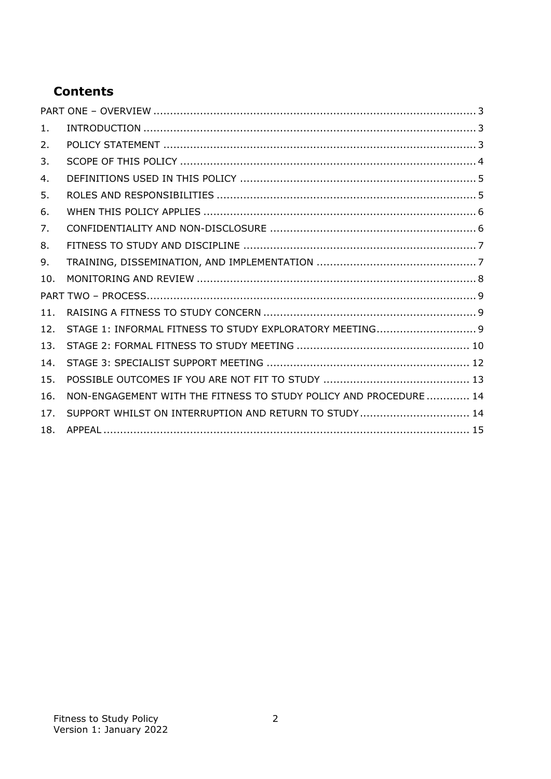# **Contents**

| 1.  |                                                                   |
|-----|-------------------------------------------------------------------|
| 2.  |                                                                   |
| 3.  |                                                                   |
| 4.  |                                                                   |
| 5.  |                                                                   |
| 6.  |                                                                   |
| 7.  |                                                                   |
| 8.  |                                                                   |
| 9.  |                                                                   |
|     |                                                                   |
| 10. |                                                                   |
|     |                                                                   |
| 11. |                                                                   |
| 12. | STAGE 1: INFORMAL FITNESS TO STUDY EXPLORATORY MEETING 9          |
| 13. |                                                                   |
| 14. |                                                                   |
| 15. |                                                                   |
| 16. | NON-ENGAGEMENT WITH THE FITNESS TO STUDY POLICY AND PROCEDURE  14 |
| 17. | SUPPORT WHILST ON INTERRUPTION AND RETURN TO STUDY 14             |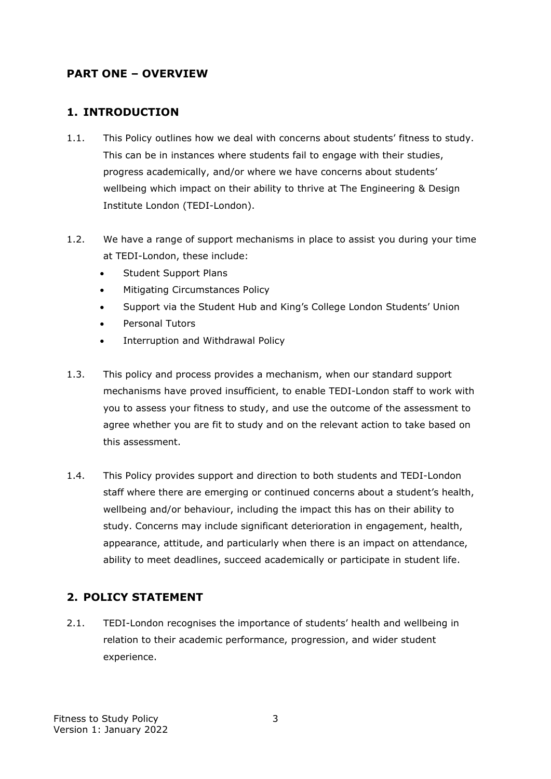### <span id="page-2-0"></span>**PART ONE – OVERVIEW**

#### <span id="page-2-1"></span>**1. INTRODUCTION**

- 1.1. This Policy outlines how we deal with concerns about students' fitness to study. This can be in instances where students fail to engage with their studies, progress academically, and/or where we have concerns about students' wellbeing which impact on their ability to thrive at The Engineering & Design Institute London (TEDI-London).
- 1.2. We have a range of support mechanisms in place to assist you during your time at TEDI-London, these include:
	- Student Support Plans
	- [Mitigating Circumstances Policy](https://www.kcl.ac.uk/aboutkings/quality/academic/assessment/mitigating-circumstances/index)
	- Support via the Student Hub and King's College London Students' Union
	- Personal Tutors
	- Interruption and Withdrawal Policy
- 1.3. This policy and process provides a mechanism, when our standard support mechanisms have proved insufficient, to enable TEDI-London staff to work with you to assess your fitness to study, and use the outcome of the assessment to agree whether you are fit to study and on the relevant action to take based on this assessment.
- 1.4. This Policy provides support and direction to both students and TEDI-London staff where there are emerging or continued concerns about a student's health, wellbeing and/or behaviour, including the impact this has on their ability to study. Concerns may include significant deterioration in engagement, health, appearance, attitude, and particularly when there is an impact on attendance, ability to meet deadlines, succeed academically or participate in student life.

#### <span id="page-2-2"></span>**2. POLICY STATEMENT**

2.1. TEDI-London recognises the importance of students' health and wellbeing in relation to their academic performance, progression, and wider student experience.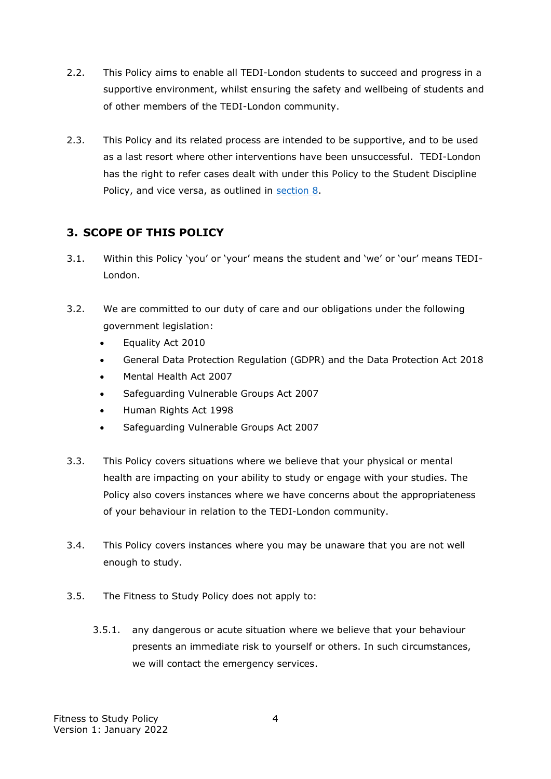- 2.2. This Policy aims to enable all TEDI-London students to succeed and progress in a supportive environment, whilst ensuring the safety and wellbeing of students and of other members of the TEDI-London community.
- 2.3. This Policy and its related process are intended to be supportive, and to be used as a last resort where other interventions have been unsuccessful. TEDI-London has the right to refer cases dealt with under this Policy to the Student Discipline Policy, and vice versa, as outlined in [section 8.](#page-6-0)

## <span id="page-3-0"></span>**3. SCOPE OF THIS POLICY**

- 3.1. Within this Policy 'you' or 'your' means the student and 'we' or 'our' means TEDI-London.
- 3.2. We are committed to our duty of care and our obligations under the following government legislation:
	- Equality Act 2010
	- General Data Protection Regulation (GDPR) and the Data Protection Act 2018
	- Mental Health Act 2007
	- Safeguarding Vulnerable Groups Act 2007
	- Human Rights Act 1998
	- Safeguarding Vulnerable Groups Act 2007
- 3.3. This Policy covers situations where we believe that your physical or mental health are impacting on your ability to study or engage with your studies. The Policy also covers instances where we have concerns about the appropriateness of your behaviour in relation to the TEDI-London community.
- 3.4. This Policy covers instances where you may be unaware that you are not well enough to study.
- 3.5. The Fitness to Study Policy does not apply to:
	- 3.5.1. any dangerous or acute situation where we believe that your behaviour presents an immediate risk to yourself or others. In such circumstances, we will contact the emergency services.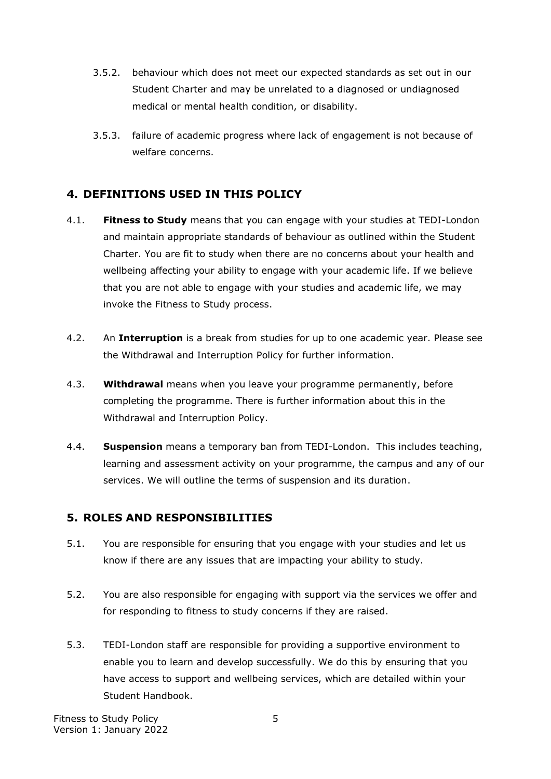- 3.5.2. behaviour which does not meet our expected standards as set out in our Student Charter and may be unrelated to a diagnosed or undiagnosed medical or mental health condition, or disability.
- 3.5.3. failure of academic progress where lack of engagement is not because of welfare concerns.

### <span id="page-4-0"></span>**4. DEFINITIONS USED IN THIS POLICY**

- 4.1. **Fitness to Study** means that you can engage with your studies at TEDI-London and maintain appropriate standards of behaviour as outlined within the Student Charter. You are fit to study when there are no concerns about your health and wellbeing affecting your ability to engage with your academic life. If we believe that you are not able to engage with your studies and academic life, we may invoke the Fitness to Study process.
- 4.2. An **Interruption** is a break from studies for up to one academic year. Please see the Withdrawal and Interruption Policy for further information.
- 4.3. **Withdrawal** means when you leave your programme permanently, before completing the programme. There is further information about this in the Withdrawal and Interruption Policy.
- 4.4. **Suspension** means a temporary ban from TEDI-London. This includes teaching, learning and assessment activity on your programme, the campus and any of our services. We will outline the terms of suspension and its duration.

#### <span id="page-4-1"></span>**5. ROLES AND RESPONSIBILITIES**

- 5.1. You are responsible for ensuring that you engage with your studies and let us know if there are any issues that are impacting your ability to study.
- 5.2. You are also responsible for engaging with support via the services we offer and for responding to fitness to study concerns if they are raised.
- 5.3. TEDI-London staff are responsible for providing a supportive environment to enable you to learn and develop successfully. We do this by ensuring that you have access to support and wellbeing services, which are detailed within your Student Handbook.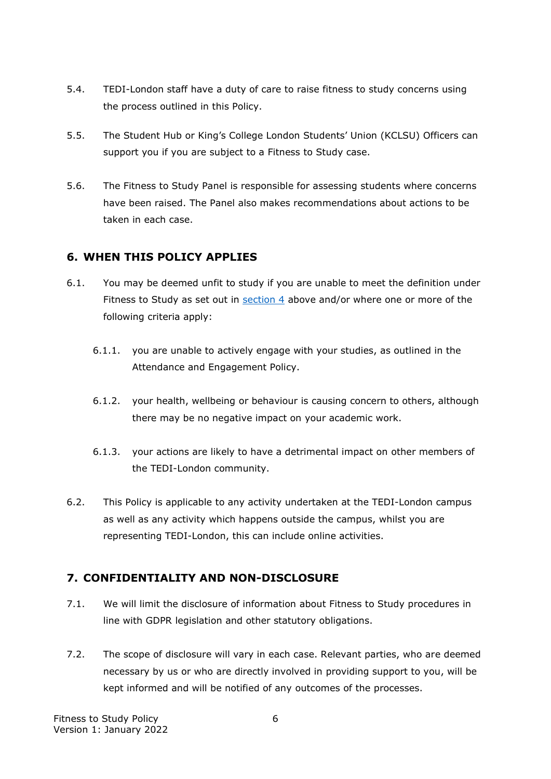- 5.4. TEDI-London staff have a duty of care to raise fitness to study concerns using the process outlined in this Policy.
- 5.5. The Student Hub or King's College London Students' Union (KCLSU) Officers can support you if you are subject to a Fitness to Study case.
- 5.6. The Fitness to Study Panel is responsible for assessing students where concerns have been raised. The Panel also makes recommendations about actions to be taken in each case.

## <span id="page-5-0"></span>**6. WHEN THIS POLICY APPLIES**

- 6.1. You may be deemed unfit to study if you are unable to meet the definition under Fitness to Study as set out in [section](#page-4-0) 4 above and/or where one or more of the following criteria apply:
	- 6.1.1. you are unable to actively engage with your studies, as outlined in the Attendance and Engagement Policy.
	- 6.1.2. your health, wellbeing or behaviour is causing concern to others, although there may be no negative impact on your academic work.
	- 6.1.3. your actions are likely to have a detrimental impact on other members of the TEDI-London community.
- 6.2. This Policy is applicable to any activity undertaken at the TEDI-London campus as well as any activity which happens outside the campus, whilst you are representing TEDI-London, this can include online activities.

## <span id="page-5-1"></span>**7. CONFIDENTIALITY AND NON-DISCLOSURE**

- 7.1. We will limit the disclosure of information about Fitness to Study procedures in line with GDPR legislation and other statutory obligations.
- 7.2. The scope of disclosure will vary in each case. Relevant parties, who are deemed necessary by us or who are directly involved in providing support to you, will be kept informed and will be notified of any outcomes of the processes.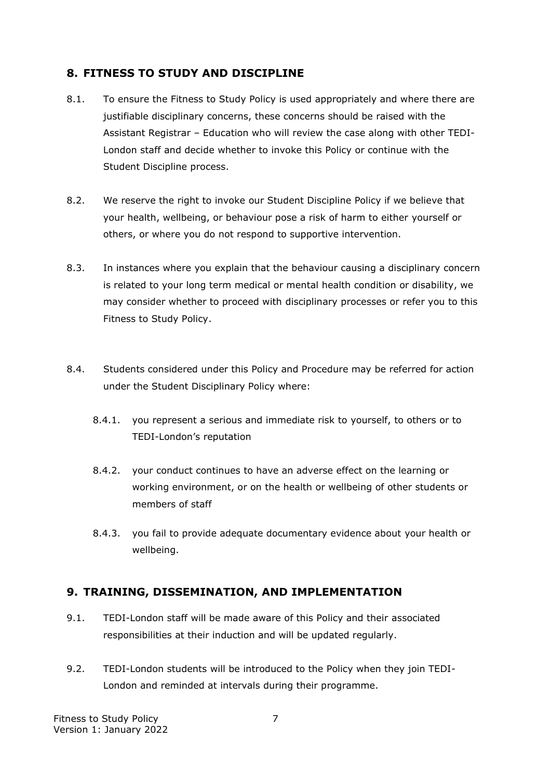### <span id="page-6-0"></span>**8. FITNESS TO STUDY AND DISCIPLINE**

- 8.1. To ensure the Fitness to Study Policy is used appropriately and where there are justifiable disciplinary concerns, these concerns should be raised with the Assistant Registrar – Education who will review the case along with other TEDI-London staff and decide whether to invoke this Policy or continue with the Student Discipline process.
- 8.2. We reserve the right to invoke our Student Discipline Policy if we believe that your health, wellbeing, or behaviour pose a risk of harm to either yourself or others, or where you do not respond to supportive intervention.
- 8.3. In instances where you explain that the behaviour causing a disciplinary concern is related to your long term medical or mental health condition or disability, we may consider whether to proceed with disciplinary processes or refer you to this Fitness to Study Policy.
- 8.4. Students considered under this Policy and Procedure may be referred for action under the Student Disciplinary Policy where:
	- 8.4.1. you represent a serious and immediate risk to yourself, to others or to TEDI-London's reputation
	- 8.4.2. your conduct continues to have an adverse effect on the learning or working environment, or on the health or wellbeing of other students or members of staff
	- 8.4.3. you fail to provide adequate documentary evidence about your health or wellbeing.

#### <span id="page-6-1"></span>**9. TRAINING, DISSEMINATION, AND IMPLEMENTATION**

- 9.1. TEDI-London staff will be made aware of this Policy and their associated responsibilities at their induction and will be updated regularly.
- 9.2. TEDI-London students will be introduced to the Policy when they join TEDI-London and reminded at intervals during their programme.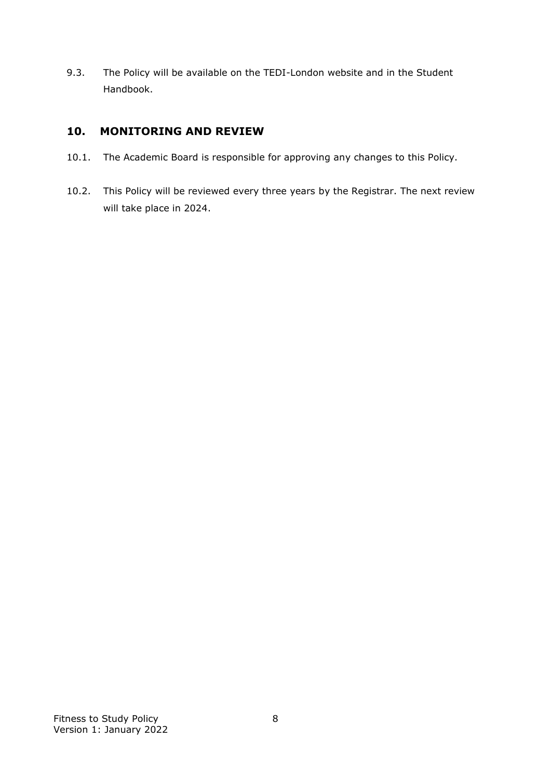9.3. The Policy will be available on the TEDI-London website and in the Student Handbook.

### <span id="page-7-0"></span>**10. MONITORING AND REVIEW**

- 10.1. The Academic Board is responsible for approving any changes to this Policy.
- 10.2. This Policy will be reviewed every three years by the Registrar. The next review will take place in 2024.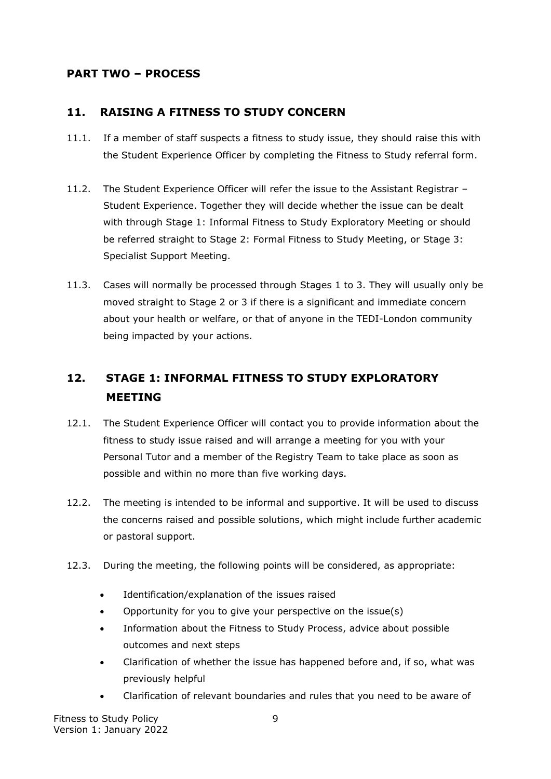### <span id="page-8-0"></span>**PART TWO – PROCESS**

#### <span id="page-8-1"></span>**11. RAISING A FITNESS TO STUDY CONCERN**

- 11.1. If a member of staff suspects a fitness to study issue, they should raise this with the Student Experience Officer by completing the Fitness to Study referral form.
- 11.2. The Student Experience Officer will refer the issue to the Assistant Registrar Student Experience. Together they will decide whether the issue can be dealt with through Stage 1: Informal Fitness to Study Exploratory Meeting or should be referred straight to Stage 2: Formal Fitness to Study Meeting, or Stage 3: Specialist Support Meeting.
- 11.3. Cases will normally be processed through Stages 1 to 3. They will usually only be moved straight to Stage 2 or 3 if there is a significant and immediate concern about your health or welfare, or that of anyone in the TEDI-London community being impacted by your actions.

# <span id="page-8-2"></span>**12. STAGE 1: INFORMAL FITNESS TO STUDY EXPLORATORY MEETING**

- 12.1. The Student Experience Officer will contact you to provide information about the fitness to study issue raised and will arrange a meeting for you with your Personal Tutor and a member of the Registry Team to take place as soon as possible and within no more than five working days.
- 12.2. The meeting is intended to be informal and supportive. It will be used to discuss the concerns raised and possible solutions, which might include further academic or pastoral support.
- 12.3. During the meeting, the following points will be considered, as appropriate:
	- Identification/explanation of the issues raised
	- Opportunity for you to give your perspective on the issue(s)
	- Information about the Fitness to Study Process, advice about possible outcomes and next steps
	- Clarification of whether the issue has happened before and, if so, what was previously helpful
	- Clarification of relevant boundaries and rules that you need to be aware of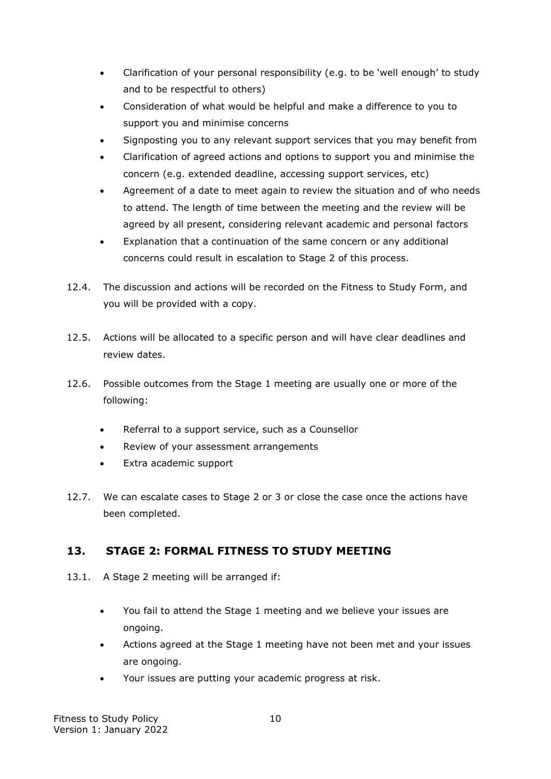- Clarification of your personal responsibility (e.g. to be 'well enough' to study and to be respectful to others)
- Consideration of what would be helpful and make a difference to you to support you and minimise concerns
- Signposting you to any relevant support services that you may benefit from
- Clarification of agreed actions and options to support you and minimise the concern (e.g. extended deadline, accessing support services, etc)
- Agreement of a date to meet again to review the situation and of who needs to attend. The length of time between the meeting and the review will be agreed by all present, considering relevant academic and personal factors
- Explanation that a continuation of the same concern or any additional concerns could result in escalation to Stage 2 of this process.
- 12.4. The discussion and actions will be recorded on the Fitness to Study Form, and you will be provided with a copy.
- 12.5. Actions will be allocated to a specific person and will have clear deadlines and review dates.
- 12.6. Possible outcomes from the Stage 1 meeting are usually one or more of the following:
	- Referral to a support service, such as a Counsellor
	- Review of your assessment arrangements
	- Extra academic support
- 12.7. We can escalate cases to Stage 2 or 3 or close the case once the actions have been completed.

## <span id="page-9-0"></span>**13. STAGE 2: FORMAL FITNESS TO STUDY MEETING**

- 13.1. A Stage 2 meeting will be arranged if:
	- You fail to attend the Stage 1 meeting and we believe your issues are ongoing.
	- Actions agreed at the Stage 1 meeting have not been met and your issues are ongoing.
	- Your issues are putting your academic progress at risk.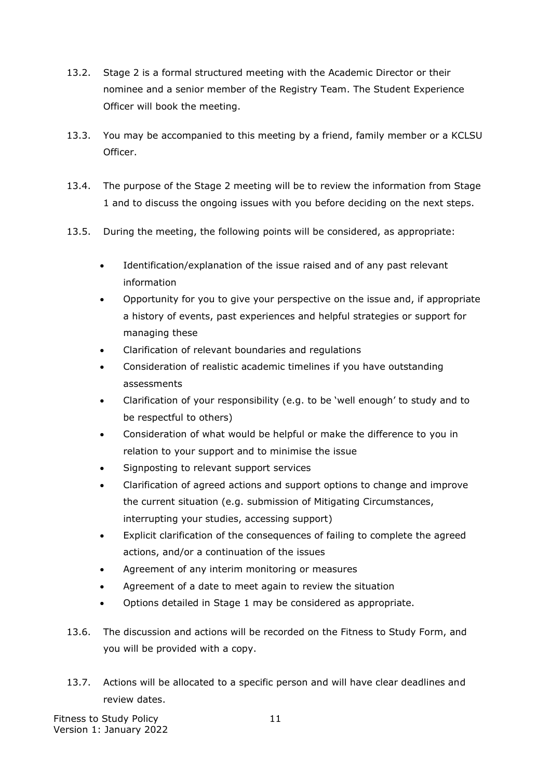- 13.2. Stage 2 is a formal structured meeting with the Academic Director or their nominee and a senior member of the Registry Team. The Student Experience Officer will book the meeting.
- 13.3. You may be accompanied to this meeting by a friend, family member or a KCLSU Officer.
- 13.4. The purpose of the Stage 2 meeting will be to review the information from Stage 1 and to discuss the ongoing issues with you before deciding on the next steps.
- 13.5. During the meeting, the following points will be considered, as appropriate:
	- Identification/explanation of the issue raised and of any past relevant information
	- Opportunity for you to give your perspective on the issue and, if appropriate a history of events, past experiences and helpful strategies or support for managing these
	- Clarification of relevant boundaries and regulations
	- Consideration of realistic academic timelines if you have outstanding assessments
	- Clarification of your responsibility (e.g. to be 'well enough' to study and to be respectful to others)
	- Consideration of what would be helpful or make the difference to you in relation to your support and to minimise the issue
	- Signposting to relevant support services
	- Clarification of agreed actions and support options to change and improve the current situation (e.g. submission of Mitigating Circumstances, interrupting your studies, accessing support)
	- Explicit clarification of the consequences of failing to complete the agreed actions, and/or a continuation of the issues
	- Agreement of any interim monitoring or measures
	- Agreement of a date to meet again to review the situation
	- Options detailed in Stage 1 may be considered as appropriate.
- 13.6. The discussion and actions will be recorded on the Fitness to Study Form, and you will be provided with a copy.
- 13.7. Actions will be allocated to a specific person and will have clear deadlines and review dates.

Fitness to Study Policy **11** Version 1: January 2022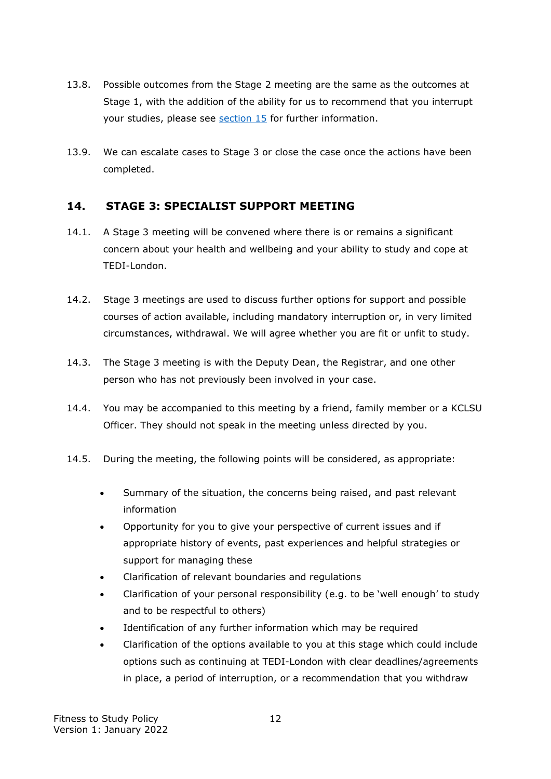- 13.8. Possible outcomes from the Stage 2 meeting are the same as the outcomes at Stage 1, with the addition of the ability for us to recommend that you interrupt your studies, please see [section 15](#page-12-0) for further information.
- 13.9. We can escalate cases to Stage 3 or close the case once the actions have been completed.

#### <span id="page-11-0"></span>**14. STAGE 3: SPECIALIST SUPPORT MEETING**

- 14.1. A Stage 3 meeting will be convened where there is or remains a significant concern about your health and wellbeing and your ability to study and cope at TEDI-London.
- 14.2. Stage 3 meetings are used to discuss further options for support and possible courses of action available, including mandatory interruption or, in very limited circumstances, withdrawal. We will agree whether you are fit or unfit to study.
- 14.3. The Stage 3 meeting is with the Deputy Dean, the Registrar, and one other person who has not previously been involved in your case.
- 14.4. You may be accompanied to this meeting by a friend, family member or a KCLSU Officer. They should not speak in the meeting unless directed by you.
- 14.5. During the meeting, the following points will be considered, as appropriate:
	- Summary of the situation, the concerns being raised, and past relevant information
	- Opportunity for you to give your perspective of current issues and if appropriate history of events, past experiences and helpful strategies or support for managing these
	- Clarification of relevant boundaries and regulations
	- Clarification of your personal responsibility (e.g. to be 'well enough' to study and to be respectful to others)
	- Identification of any further information which may be required
	- Clarification of the options available to you at this stage which could include options such as continuing at TEDI-London with clear deadlines/agreements in place, a period of interruption, or a recommendation that you withdraw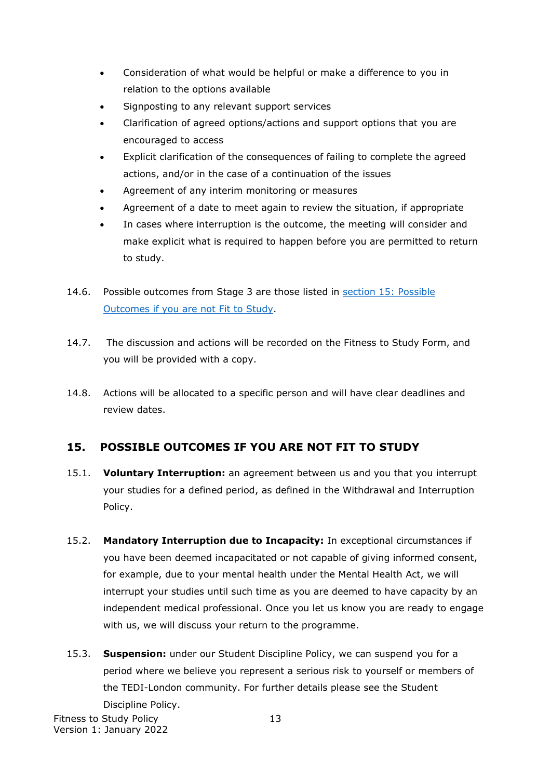- Consideration of what would be helpful or make a difference to you in relation to the options available
- Signposting to any relevant support services
- Clarification of agreed options/actions and support options that you are encouraged to access
- Explicit clarification of the consequences of failing to complete the agreed actions, and/or in the case of a continuation of the issues
- Agreement of any interim monitoring or measures
- Agreement of a date to meet again to review the situation, if appropriate
- In cases where interruption is the outcome, the meeting will consider and make explicit what is required to happen before you are permitted to return to study.
- 14.6. Possible outcomes from Stage 3 are those listed in section 15: Possible Outcomes [if you are not Fit to Study.](#page-12-0)
- 14.7. The discussion and actions will be recorded on the Fitness to Study Form, and you will be provided with a copy.
- 14.8. Actions will be allocated to a specific person and will have clear deadlines and review dates.

## <span id="page-12-0"></span>**15. POSSIBLE OUTCOMES IF YOU ARE NOT FIT TO STUDY**

- 15.1. **Voluntary Interruption:** an agreement between us and you that you interrupt your studies for a defined period, as defined in the Withdrawal and Interruption Policy.
- 15.2. **Mandatory Interruption due to Incapacity:** In exceptional circumstances if you have been deemed incapacitated or not capable of giving informed consent, for example, due to your mental health under the Mental Health Act, we will interrupt your studies until such time as you are deemed to have capacity by an independent medical professional. Once you let us know you are ready to engage with us, we will discuss your return to the programme.
- 15.3. **Suspension:** under our Student Discipline Policy, we can suspend you for a period where we believe you represent a serious risk to yourself or members of the TEDI-London community. For further details please see the Student Discipline Policy.

Fitness to Study Policy **13** Version 1: January 2022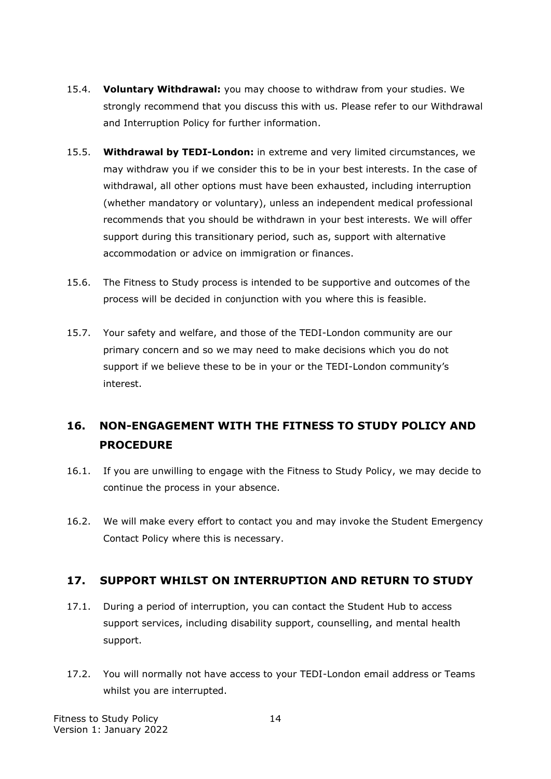- 15.4. **Voluntary Withdrawal:** you may choose to withdraw from your studies. We strongly recommend that you discuss this with us. Please refer to our Withdrawal and Interruption Policy for further information.
- 15.5. **Withdrawal by TEDI-London:** in extreme and very limited circumstances, we may withdraw you if we consider this to be in your best interests. In the case of withdrawal, all other options must have been exhausted, including interruption (whether mandatory or voluntary), unless an independent medical professional recommends that you should be withdrawn in your best interests. We will offer support during this transitionary period, such as, support with alternative accommodation or advice on immigration or finances.
- 15.6. The Fitness to Study process is intended to be supportive and outcomes of the process will be decided in conjunction with you where this is feasible.
- 15.7. Your safety and welfare, and those of the TEDI-London community are our primary concern and so we may need to make decisions which you do not support if we believe these to be in your or the TEDI-London community's interest.

# <span id="page-13-0"></span>**16. NON-ENGAGEMENT WITH THE FITNESS TO STUDY POLICY AND PROCEDURE**

- 16.1. If you are unwilling to engage with the Fitness to Study Policy, we may decide to continue the process in your absence.
- 16.2. We will make every effort to contact you and may invoke the Student Emergency Contact Policy where this is necessary.

#### <span id="page-13-1"></span>**17. SUPPORT WHILST ON INTERRUPTION AND RETURN TO STUDY**

- 17.1. During a period of interruption, you can contact the Student Hub to access support services, including disability support, counselling, and mental health support.
- 17.2. You will normally not have access to your TEDI-London email address or Teams whilst you are interrupted.

Fitness to Study Policy **14** Version 1: January 2022